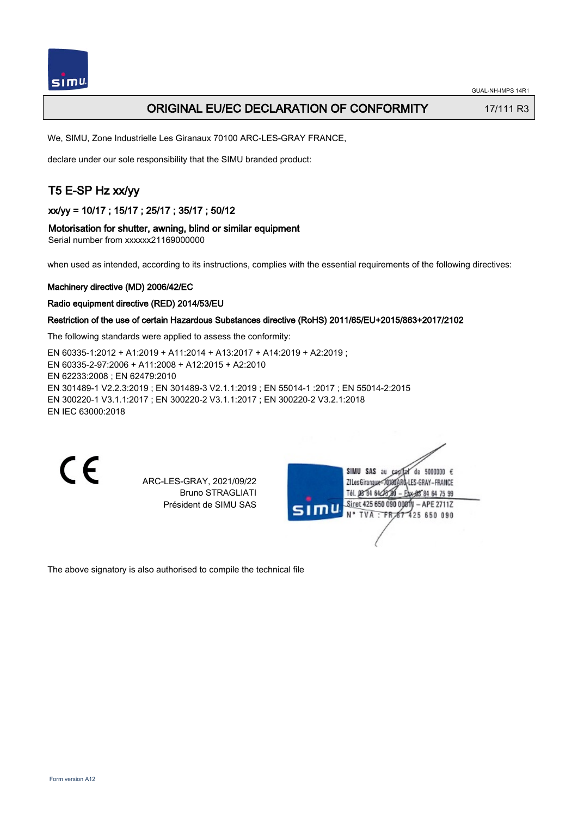

# ORIGINAL EU/EC DECLARATION OF CONFORMITY 17/111 R3

We, SIMU, Zone Industrielle Les Giranaux 70100 ARC-LES-GRAY FRANCE,

declare under our sole responsibility that the SIMU branded product:

# T5 E-SP Hz xx/yy

xx/yy = 10/17 ; 15/17 ; 25/17 ; 35/17 ; 50/12

### Motorisation for shutter, awning, blind or similar equipment

Serial number from xxxxxx21169000000

when used as intended, according to its instructions, complies with the essential requirements of the following directives:

#### Machinery directive (MD) 2006/42/EC

#### Radio equipment directive (RED) 2014/53/EU

### Restriction of the use of certain Hazardous Substances directive (RoHS) 2011/65/EU+2015/863+2017/2102

The following standards were applied to assess the conformity:

EN 60335‑1:2012 + A1:2019 + A11:2014 + A13:2017 + A14:2019 + A2:2019 ; EN 60335‑2‑97:2006 + A11:2008 + A12:2015 + A2:2010 EN 62233:2008 ; EN 62479:2010 EN 301489‑1 V2.2.3:2019 ; EN 301489‑3 V2.1.1:2019 ; EN 55014‑1 :2017 ; EN 55014‑2:2015 EN 300220‑1 V3.1.1:2017 ; EN 300220‑2 V3.1.1:2017 ; EN 300220‑2 V3.2.1:2018 EN IEC 63000:2018

 $\epsilon$ 

ARC-LES-GRAY, 2021/09/22 Bruno STRAGLIATI Président de SIMU SAS

de 5000000  $\epsilon$ **ZILesGiranaua** ES-GRAY-FRANCE THE DR'RA 64/2 85 84 64 75 99 Siret 425 650 090 00811 - APE 2711Z FR 67 425 650 090 TVA

The above signatory is also authorised to compile the technical file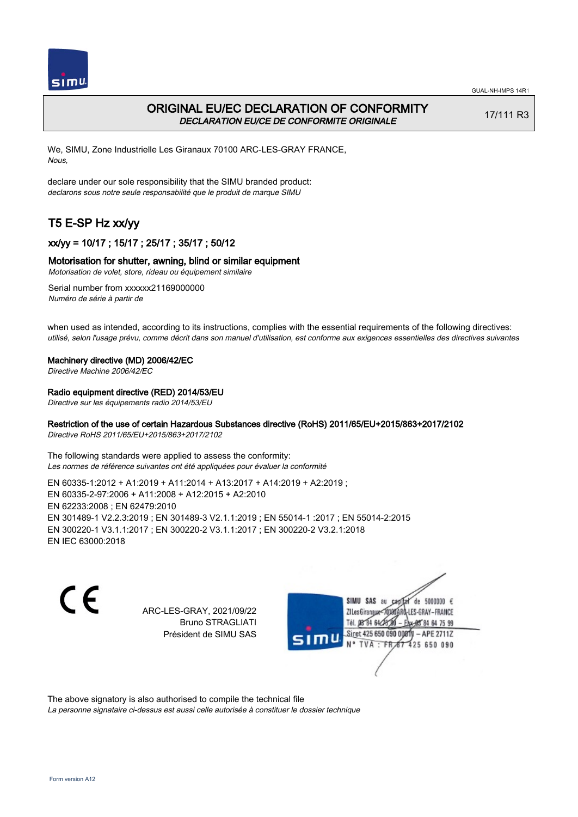



# ORIGINAL EU/EC DECLARATION OF CONFORMITY DECLARATION EU/CE DE CONFORMITE ORIGINALE

17/111 R3

We, SIMU, Zone Industrielle Les Giranaux 70100 ARC-LES-GRAY FRANCE, Nous,

declare under our sole responsibility that the SIMU branded product: declarons sous notre seule responsabilité que le produit de marque SIMU

# T5 E-SP Hz xx/yy

# xx/yy = 10/17 ; 15/17 ; 25/17 ; 35/17 ; 50/12

## Motorisation for shutter, awning, blind or similar equipment

Motorisation de volet, store, rideau ou équipement similaire

Serial number from xxxxxx21169000000 Numéro de série à partir de

when used as intended, according to its instructions, complies with the essential requirements of the following directives: utilisé, selon l'usage prévu, comme décrit dans son manuel d'utilisation, est conforme aux exigences essentielles des directives suivantes

### Machinery directive (MD) 2006/42/EC

Directive Machine 2006/42/EC

## Radio equipment directive (RED) 2014/53/EU

Directive sur les équipements radio 2014/53/EU

# Restriction of the use of certain Hazardous Substances directive (RoHS) 2011/65/EU+2015/863+2017/2102

Directive RoHS 2011/65/EU+2015/863+2017/2102

The following standards were applied to assess the conformity: Les normes de référence suivantes ont été appliquées pour évaluer la conformité

EN 60335‑1:2012 + A1:2019 + A11:2014 + A13:2017 + A14:2019 + A2:2019 ; EN 60335‑2‑97:2006 + A11:2008 + A12:2015 + A2:2010 EN 62233:2008 ; EN 62479:2010 EN 301489‑1 V2.2.3:2019 ; EN 301489‑3 V2.1.1:2019 ; EN 55014‑1 :2017 ; EN 55014‑2:2015 EN 300220‑1 V3.1.1:2017 ; EN 300220‑2 V3.1.1:2017 ; EN 300220‑2 V3.2.1:2018 EN IEC 63000:2018

 $\epsilon$ 

ARC-LES-GRAY, 2021/09/22 Bruno STRAGLIATI Président de SIMU SAS



The above signatory is also authorised to compile the technical file

La personne signataire ci-dessus est aussi celle autorisée à constituer le dossier technique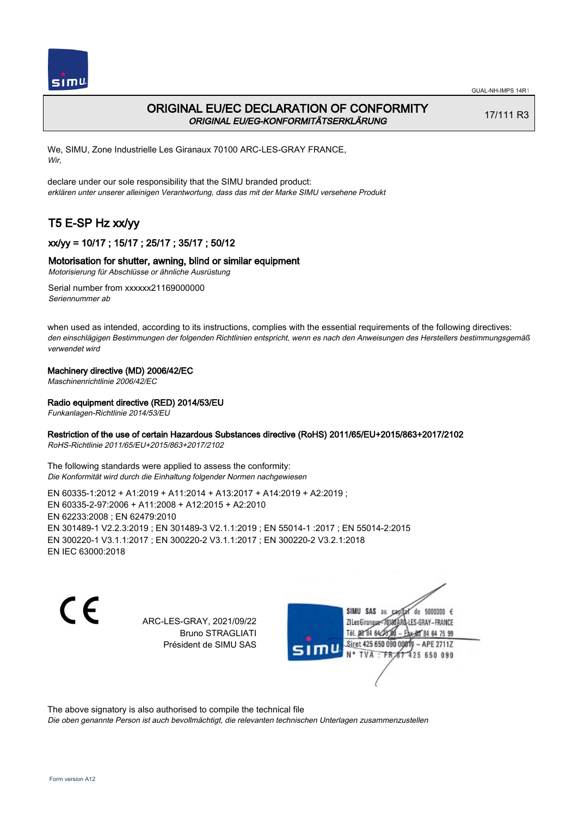

# ORIGINAL EU/EC DECLARATION OF CONFORMITY ORIGINAL EU/EG-KONFORMITÄTSERKLÄRUNG

17/111 R3

We, SIMU, Zone Industrielle Les Giranaux 70100 ARC-LES-GRAY FRANCE, Wir,

declare under our sole responsibility that the SIMU branded product: erklären unter unserer alleinigen Verantwortung, dass das mit der Marke SIMU versehene Produkt

# T5 E-SP Hz xx/yy

# xx/yy = 10/17 ; 15/17 ; 25/17 ; 35/17 ; 50/12

### Motorisation for shutter, awning, blind or similar equipment

Motorisierung für Abschlüsse or ähnliche Ausrüstung

Serial number from xxxxxx21169000000 Seriennummer ab

when used as intended, according to its instructions, complies with the essential requirements of the following directives: den einschlägigen Bestimmungen der folgenden Richtlinien entspricht, wenn es nach den Anweisungen des Herstellers bestimmungsgemäß verwendet wird

### Machinery directive (MD) 2006/42/EC

Maschinenrichtlinie 2006/42/EC

### Radio equipment directive (RED) 2014/53/EU

Funkanlagen-Richtlinie 2014/53/EU

## Restriction of the use of certain Hazardous Substances directive (RoHS) 2011/65/EU+2015/863+2017/2102

RoHS-Richtlinie 2011/65/EU+2015/863+2017/2102

The following standards were applied to assess the conformity: Die Konformität wird durch die Einhaltung folgender Normen nachgewiesen

EN 60335‑1:2012 + A1:2019 + A11:2014 + A13:2017 + A14:2019 + A2:2019 ; EN 60335‑2‑97:2006 + A11:2008 + A12:2015 + A2:2010 EN 62233:2008 ; EN 62479:2010 EN 301489‑1 V2.2.3:2019 ; EN 301489‑3 V2.1.1:2019 ; EN 55014‑1 :2017 ; EN 55014‑2:2015 EN 300220‑1 V3.1.1:2017 ; EN 300220‑2 V3.1.1:2017 ; EN 300220‑2 V3.2.1:2018 EN IEC 63000:2018

C E

ARC-LES-GRAY, 2021/09/22 Bruno STRAGLIATI Président de SIMU SAS

SIMU SAS au de 5000000  $\epsilon$ ZI Les Giranaux-70180 LES-GRAY-FRANCE Tél. 08 84 64 24 64 75 99 Siret 425 650 090 008TV - APE 2711Z 425 650 090 **TVA:FR** 

The above signatory is also authorised to compile the technical file

Die oben genannte Person ist auch bevollmächtigt, die relevanten technischen Unterlagen zusammenzustellen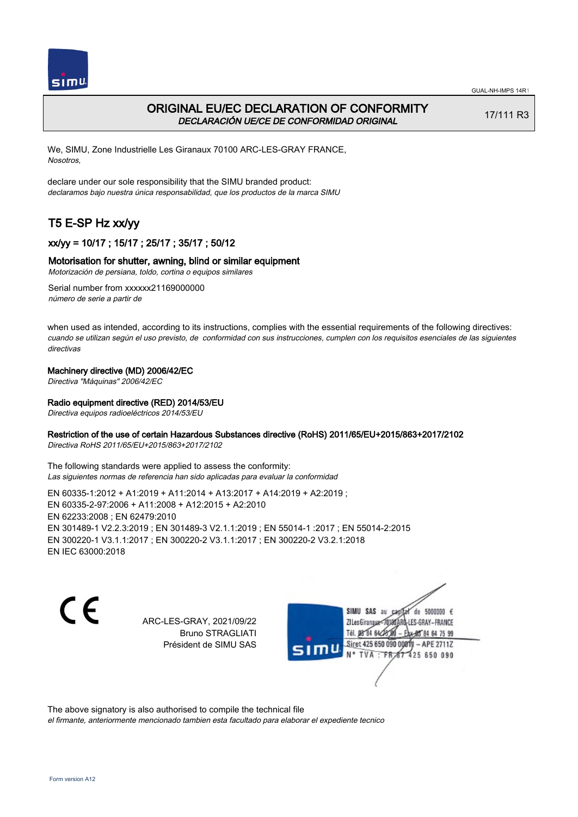



# ORIGINAL EU/EC DECLARATION OF CONFORMITY DECLARACIÓN UE/CE DE CONFORMIDAD ORIGINAL

17/111 R3

We, SIMU, Zone Industrielle Les Giranaux 70100 ARC-LES-GRAY FRANCE, Nosotros,

declare under our sole responsibility that the SIMU branded product: declaramos bajo nuestra única responsabilidad, que los productos de la marca SIMU

# T5 E-SP Hz xx/yy

# xx/yy = 10/17 ; 15/17 ; 25/17 ; 35/17 ; 50/12

## Motorisation for shutter, awning, blind or similar equipment

Motorización de persiana, toldo, cortina o equipos similares

Serial number from xxxxxx21169000000 número de serie a partir de

when used as intended, according to its instructions, complies with the essential requirements of the following directives: cuando se utilizan según el uso previsto, de conformidad con sus instrucciones, cumplen con los requisitos esenciales de las siguientes directivas

## Machinery directive (MD) 2006/42/EC

Directiva "Máquinas" 2006/42/EC

## Radio equipment directive (RED) 2014/53/EU

Directiva equipos radioeléctricos 2014/53/EU

## Restriction of the use of certain Hazardous Substances directive (RoHS) 2011/65/EU+2015/863+2017/2102

Directiva RoHS 2011/65/EU+2015/863+2017/2102

The following standards were applied to assess the conformity: Las siguientes normas de referencia han sido aplicadas para evaluar la conformidad

EN 60335‑1:2012 + A1:2019 + A11:2014 + A13:2017 + A14:2019 + A2:2019 ; EN 60335‑2‑97:2006 + A11:2008 + A12:2015 + A2:2010 EN 62233:2008 ; EN 62479:2010 EN 301489‑1 V2.2.3:2019 ; EN 301489‑3 V2.1.1:2019 ; EN 55014‑1 :2017 ; EN 55014‑2:2015 EN 300220‑1 V3.1.1:2017 ; EN 300220‑2 V3.1.1:2017 ; EN 300220‑2 V3.2.1:2018 EN IEC 63000:2018

C E

ARC-LES-GRAY, 2021/09/22 Bruno STRAGLIATI Président de SIMU SAS

SIMU SAS au de 5000000  $\epsilon$ ZI Les Girangux 10180 LES-GRAY-FRANCE Tél. 08 84 64 24 64 75 99 Siret 425 650 090 008TV - APE 2711Z 425 650 090 TVA: FR

The above signatory is also authorised to compile the technical file el firmante, anteriormente mencionado tambien esta facultado para elaborar el expediente tecnico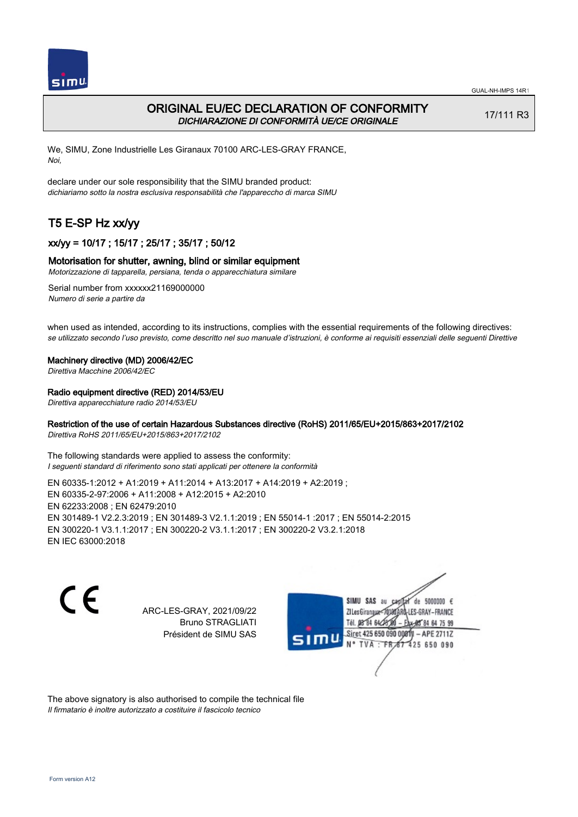

# ORIGINAL EU/EC DECLARATION OF CONFORMITY DICHIARAZIONE DI CONFORMITÀ UE/CE ORIGINALE

17/111 R3

We, SIMU, Zone Industrielle Les Giranaux 70100 ARC-LES-GRAY FRANCE, Noi,

declare under our sole responsibility that the SIMU branded product: dichiariamo sotto la nostra esclusiva responsabilità che l'appareccho di marca SIMU

# T5 E-SP Hz xx/yy

 $simu$ 

# xx/yy = 10/17 ; 15/17 ; 25/17 ; 35/17 ; 50/12

## Motorisation for shutter, awning, blind or similar equipment

Motorizzazione di tapparella, persiana, tenda o apparecchiatura similare

Serial number from xxxxxx21169000000 Numero di serie a partire da

when used as intended, according to its instructions, complies with the essential requirements of the following directives: se utilizzato secondo l'uso previsto, come descritto nel suo manuale d'istruzioni, è conforme ai requisiti essenziali delle seguenti Direttive

### Machinery directive (MD) 2006/42/EC

Direttiva Macchine 2006/42/EC

## Radio equipment directive (RED) 2014/53/EU

Direttiva apparecchiature radio 2014/53/EU

# Restriction of the use of certain Hazardous Substances directive (RoHS) 2011/65/EU+2015/863+2017/2102

Direttiva RoHS 2011/65/EU+2015/863+2017/2102

The following standards were applied to assess the conformity: I seguenti standard di riferimento sono stati applicati per ottenere la conformità

EN 60335‑1:2012 + A1:2019 + A11:2014 + A13:2017 + A14:2019 + A2:2019 ; EN 60335‑2‑97:2006 + A11:2008 + A12:2015 + A2:2010 EN 62233:2008 ; EN 62479:2010 EN 301489‑1 V2.2.3:2019 ; EN 301489‑3 V2.1.1:2019 ; EN 55014‑1 :2017 ; EN 55014‑2:2015 EN 300220‑1 V3.1.1:2017 ; EN 300220‑2 V3.1.1:2017 ; EN 300220‑2 V3.2.1:2018 EN IEC 63000:2018

 $\epsilon$ 

ARC-LES-GRAY, 2021/09/22 Bruno STRAGLIATI Président de SIMU SAS



The above signatory is also authorised to compile the technical file Il firmatario è inoltre autorizzato a costituire il fascicolo tecnico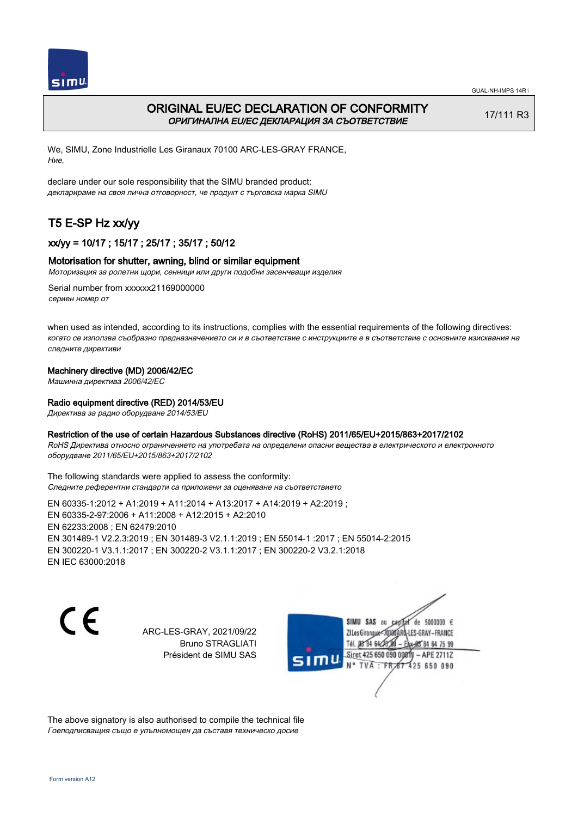



# ORIGINAL EU/EC DECLARATION OF CONFORMITY ОРИГИНАЛНА EU/EC ДЕКЛАРАЦИЯ ЗА СЪОТВЕТСТВИЕ

17/111 R3

We, SIMU, Zone Industrielle Les Giranaux 70100 ARC-LES-GRAY FRANCE, Ние,

declare under our sole responsibility that the SIMU branded product: декларираме на своя лична отговорност, че продукт с търговска марка SIMU

# T5 E-SP Hz xx/yy

# xx/yy = 10/17 ; 15/17 ; 25/17 ; 35/17 ; 50/12

## Motorisation for shutter, awning, blind or similar equipment

Моторизация за ролетни щори, сенници или други подобни засенчващи изделия

Serial number from xxxxxx21169000000 сериен номер от

when used as intended, according to its instructions, complies with the essential requirements of the following directives: когато се използва съобразно предназначението си и в съответствие с инструкциите е в съответствие с основните изисквания на следните директиви

### Machinery directive (MD) 2006/42/EC

Машинна директива 2006/42/EC

### Radio equipment directive (RED) 2014/53/EU

Директива за радио оборудване 2014/53/EU

### Restriction of the use of certain Hazardous Substances directive (RoHS) 2011/65/EU+2015/863+2017/2102

RoHS Директива относно ограничението на употребата на определени опасни вещества в електрическото и електронното оборудване 2011/65/EU+2015/863+2017/2102

The following standards were applied to assess the conformity: Следните референтни стандарти са приложени за оценяване на съответствието

EN 60335‑1:2012 + A1:2019 + A11:2014 + A13:2017 + A14:2019 + A2:2019 ; EN 60335‑2‑97:2006 + A11:2008 + A12:2015 + A2:2010 EN 62233:2008 ; EN 62479:2010 EN 301489‑1 V2.2.3:2019 ; EN 301489‑3 V2.1.1:2019 ; EN 55014‑1 :2017 ; EN 55014‑2:2015 EN 300220‑1 V3.1.1:2017 ; EN 300220‑2 V3.1.1:2017 ; EN 300220‑2 V3.2.1:2018 EN IEC 63000:2018

C E

ARC-LES-GRAY, 2021/09/22 Bruno STRAGLIATI Président de SIMU SAS



The above signatory is also authorised to compile the technical file Гоеподписващия също е упълномощен да съставя техническо досие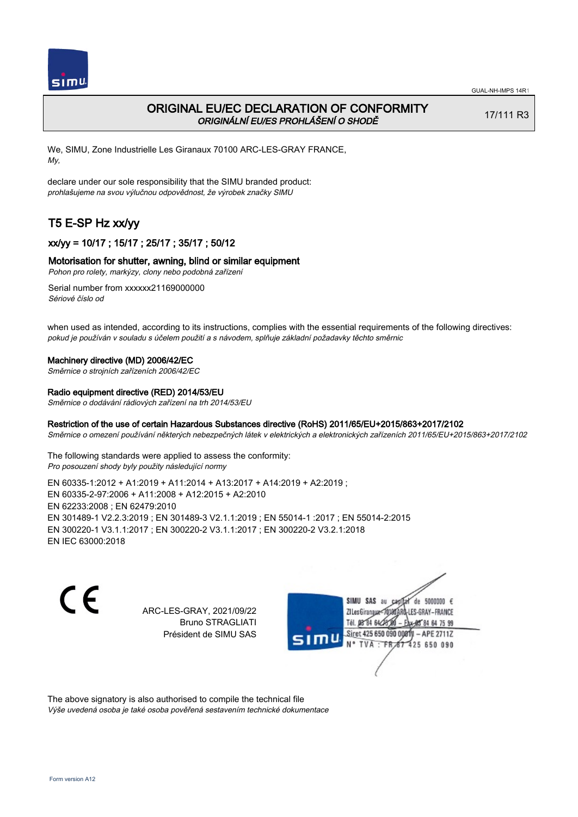

# ORIGINAL EU/EC DECLARATION OF CONFORMITY ORIGINÁLNÍ EU/ES PROHLÁŠENÍ O SHODĚ

17/111 R3

We, SIMU, Zone Industrielle Les Giranaux 70100 ARC-LES-GRAY FRANCE, My,

declare under our sole responsibility that the SIMU branded product: prohlašujeme na svou výlučnou odpovědnost, že výrobek značky SIMU

# T5 E-SP Hz xx/yy

# xx/yy = 10/17 ; 15/17 ; 25/17 ; 35/17 ; 50/12

# Motorisation for shutter, awning, blind or similar equipment

Pohon pro rolety, markýzy, clony nebo podobná zařízení

Serial number from xxxxxx21169000000 Sériové číslo od

when used as intended, according to its instructions, complies with the essential requirements of the following directives: pokud je používán v souladu s účelem použití a s návodem, splňuje základní požadavky těchto směrnic

### Machinery directive (MD) 2006/42/EC

Směrnice o strojních zařízeních 2006/42/EC

### Radio equipment directive (RED) 2014/53/EU

Směrnice o dodávání rádiových zařízení na trh 2014/53/EU

## Restriction of the use of certain Hazardous Substances directive (RoHS) 2011/65/EU+2015/863+2017/2102

Směrnice o omezení používání některých nebezpečných látek v elektrických a elektronických zařízeních 2011/65/EU+2015/863+2017/2102

The following standards were applied to assess the conformity: Pro posouzení shody byly použity následující normy

EN 60335‑1:2012 + A1:2019 + A11:2014 + A13:2017 + A14:2019 + A2:2019 ; EN 60335‑2‑97:2006 + A11:2008 + A12:2015 + A2:2010 EN 62233:2008 ; EN 62479:2010 EN 301489‑1 V2.2.3:2019 ; EN 301489‑3 V2.1.1:2019 ; EN 55014‑1 :2017 ; EN 55014‑2:2015 EN 300220‑1 V3.1.1:2017 ; EN 300220‑2 V3.1.1:2017 ; EN 300220‑2 V3.2.1:2018 EN IEC 63000:2018

 $\epsilon$ 

ARC-LES-GRAY, 2021/09/22 Bruno STRAGLIATI Président de SIMU SAS



The above signatory is also authorised to compile the technical file Výše uvedená osoba je také osoba pověřená sestavením technické dokumentace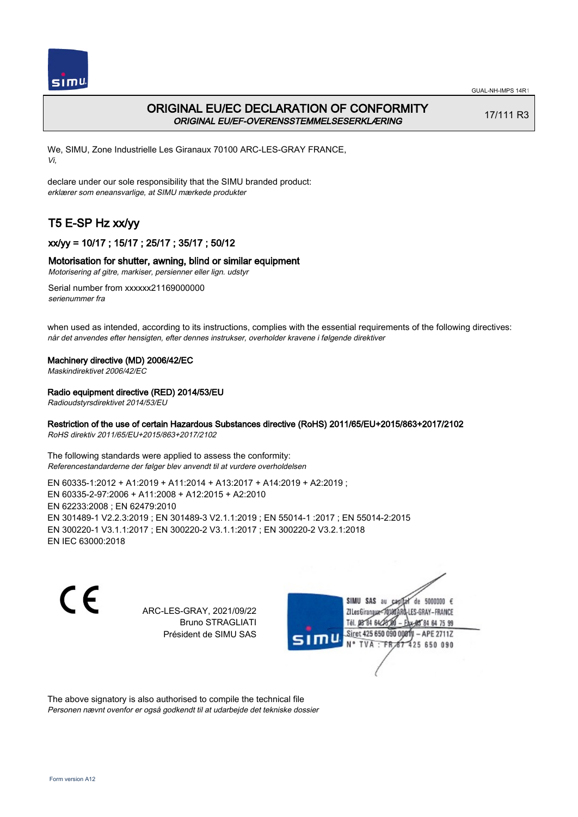



# ORIGINAL EU/EC DECLARATION OF CONFORMITY ORIGINAL EU/EF-OVERENSSTEMMELSESERKLÆRING

17/111 R3

We, SIMU, Zone Industrielle Les Giranaux 70100 ARC-LES-GRAY FRANCE, Vi,

declare under our sole responsibility that the SIMU branded product: erklærer som eneansvarlige, at SIMU mærkede produkter

# T5 E-SP Hz xx/yy

# xx/yy = 10/17 ; 15/17 ; 25/17 ; 35/17 ; 50/12

# Motorisation for shutter, awning, blind or similar equipment

Motorisering af gitre, markiser, persienner eller lign. udstyr

Serial number from xxxxxx21169000000 serienummer fra

when used as intended, according to its instructions, complies with the essential requirements of the following directives: når det anvendes efter hensigten, efter dennes instrukser, overholder kravene i følgende direktiver

### Machinery directive (MD) 2006/42/EC

Maskindirektivet 2006/42/EC

## Radio equipment directive (RED) 2014/53/EU

Radioudstyrsdirektivet 2014/53/EU

# Restriction of the use of certain Hazardous Substances directive (RoHS) 2011/65/EU+2015/863+2017/2102

RoHS direktiv 2011/65/EU+2015/863+2017/2102

The following standards were applied to assess the conformity: Referencestandarderne der følger blev anvendt til at vurdere overholdelsen

EN 60335‑1:2012 + A1:2019 + A11:2014 + A13:2017 + A14:2019 + A2:2019 ; EN 60335‑2‑97:2006 + A11:2008 + A12:2015 + A2:2010 EN 62233:2008 ; EN 62479:2010 EN 301489‑1 V2.2.3:2019 ; EN 301489‑3 V2.1.1:2019 ; EN 55014‑1 :2017 ; EN 55014‑2:2015 EN 300220‑1 V3.1.1:2017 ; EN 300220‑2 V3.1.1:2017 ; EN 300220‑2 V3.2.1:2018 EN IEC 63000:2018

 $\epsilon$ 

ARC-LES-GRAY, 2021/09/22 Bruno STRAGLIATI Président de SIMU SAS



The above signatory is also authorised to compile the technical file Personen nævnt ovenfor er også godkendt til at udarbejde det tekniske dossier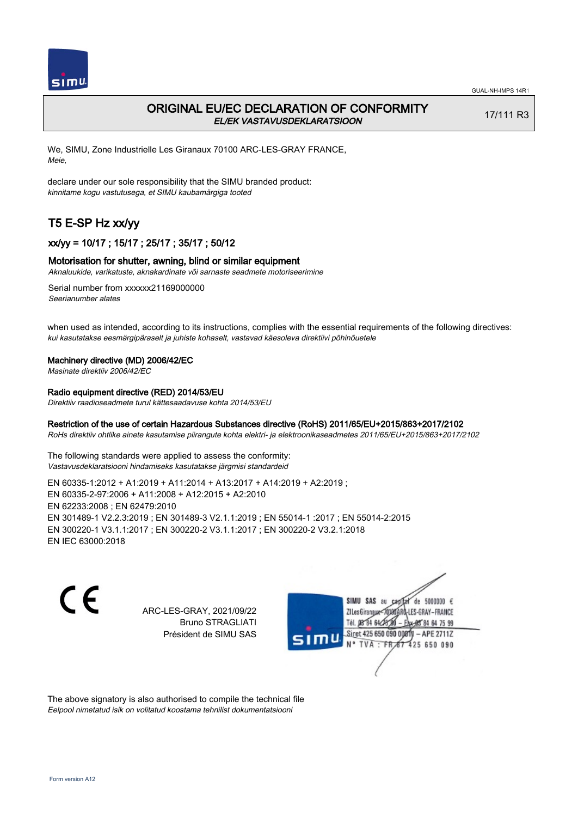

# ORIGINAL EU/EC DECLARATION OF CONFORMITY EL/EK VASTAVUSDEKLARATSIOON

17/111 R3

We, SIMU, Zone Industrielle Les Giranaux 70100 ARC-LES-GRAY FRANCE, Meie,

declare under our sole responsibility that the SIMU branded product: kinnitame kogu vastutusega, et SIMU kaubamärgiga tooted

# T5 E-SP Hz xx/yy

# xx/yy = 10/17 ; 15/17 ; 25/17 ; 35/17 ; 50/12

### Motorisation for shutter, awning, blind or similar equipment

Aknaluukide, varikatuste, aknakardinate või sarnaste seadmete motoriseerimine

Serial number from xxxxxx21169000000 Seerianumber alates

when used as intended, according to its instructions, complies with the essential requirements of the following directives: kui kasutatakse eesmärgipäraselt ja juhiste kohaselt, vastavad käesoleva direktiivi põhinõuetele

#### Machinery directive (MD) 2006/42/EC

Masinate direktiiv 2006/42/EC

# Radio equipment directive (RED) 2014/53/EU

Direktiiv raadioseadmete turul kättesaadavuse kohta 2014/53/EU

## Restriction of the use of certain Hazardous Substances directive (RoHS) 2011/65/EU+2015/863+2017/2102

RoHs direktiiv ohtlike ainete kasutamise piirangute kohta elektri- ja elektroonikaseadmetes 2011/65/EU+2015/863+2017/2102

The following standards were applied to assess the conformity: Vastavusdeklaratsiooni hindamiseks kasutatakse järgmisi standardeid

EN 60335‑1:2012 + A1:2019 + A11:2014 + A13:2017 + A14:2019 + A2:2019 ; EN 60335‑2‑97:2006 + A11:2008 + A12:2015 + A2:2010 EN 62233:2008 ; EN 62479:2010 EN 301489‑1 V2.2.3:2019 ; EN 301489‑3 V2.1.1:2019 ; EN 55014‑1 :2017 ; EN 55014‑2:2015 EN 300220‑1 V3.1.1:2017 ; EN 300220‑2 V3.1.1:2017 ; EN 300220‑2 V3.2.1:2018 EN IEC 63000:2018

 $\epsilon$ 

ARC-LES-GRAY, 2021/09/22 Bruno STRAGLIATI Président de SIMU SAS



The above signatory is also authorised to compile the technical file Eelpool nimetatud isik on volitatud koostama tehnilist dokumentatsiooni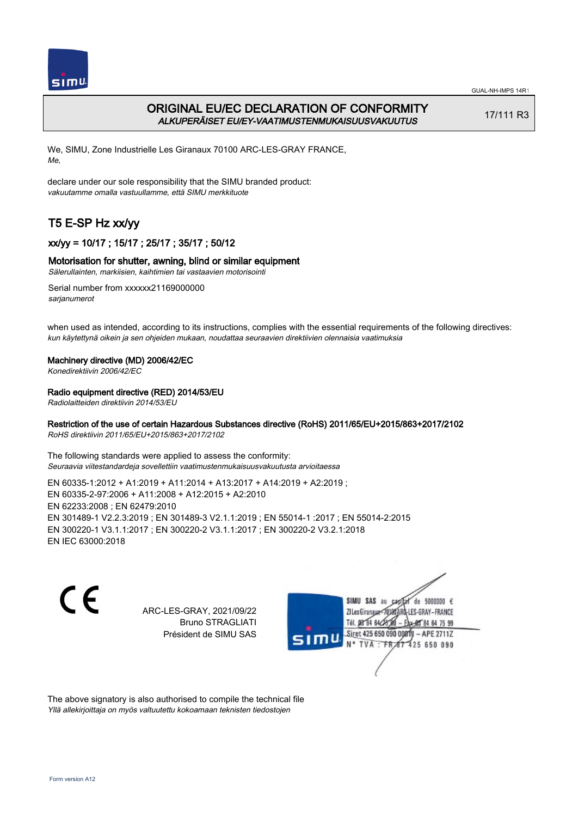

# ORIGINAL EU/EC DECLARATION OF CONFORMITY ALKUPERÄISET EU/EY-VAATIMUSTENMUKAISUUSVAKUUTUS

17/111 R3

We, SIMU, Zone Industrielle Les Giranaux 70100 ARC-LES-GRAY FRANCE, Me,

declare under our sole responsibility that the SIMU branded product: vakuutamme omalla vastuullamme, että SIMU merkkituote

# T5 E-SP Hz xx/yy

# xx/yy = 10/17 ; 15/17 ; 25/17 ; 35/17 ; 50/12

# Motorisation for shutter, awning, blind or similar equipment

Sälerullainten, markiisien, kaihtimien tai vastaavien motorisointi

Serial number from xxxxxx21169000000 sarianumerot

when used as intended, according to its instructions, complies with the essential requirements of the following directives: kun käytettynä oikein ja sen ohjeiden mukaan, noudattaa seuraavien direktiivien olennaisia vaatimuksia

## Machinery directive (MD) 2006/42/EC

Konedirektiivin 2006/42/EC

## Radio equipment directive (RED) 2014/53/EU

Radiolaitteiden direktiivin 2014/53/EU

# Restriction of the use of certain Hazardous Substances directive (RoHS) 2011/65/EU+2015/863+2017/2102

RoHS direktiivin 2011/65/EU+2015/863+2017/2102

The following standards were applied to assess the conformity: Seuraavia viitestandardeja sovellettiin vaatimustenmukaisuusvakuutusta arvioitaessa

EN 60335‑1:2012 + A1:2019 + A11:2014 + A13:2017 + A14:2019 + A2:2019 ; EN 60335‑2‑97:2006 + A11:2008 + A12:2015 + A2:2010 EN 62233:2008 ; EN 62479:2010 EN 301489‑1 V2.2.3:2019 ; EN 301489‑3 V2.1.1:2019 ; EN 55014‑1 :2017 ; EN 55014‑2:2015 EN 300220‑1 V3.1.1:2017 ; EN 300220‑2 V3.1.1:2017 ; EN 300220‑2 V3.2.1:2018 EN IEC 63000:2018

 $\epsilon$ 

ARC-LES-GRAY, 2021/09/22 Bruno STRAGLIATI Président de SIMU SAS



The above signatory is also authorised to compile the technical file Yllä allekirjoittaja on myös valtuutettu kokoamaan teknisten tiedostojen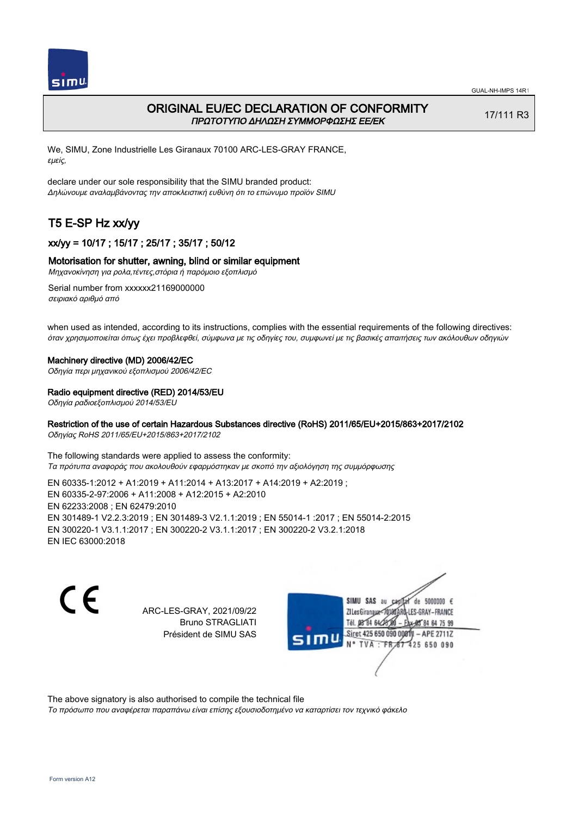

# ORIGINAL EU/EC DECLARATION OF CONFORMITY ΠΡΩΤΟΤΥΠΟ ΔΗΛΩΣΗ ΣΥΜΜΟΡΦΩΣΗΣ ΕΕ/EK

17/111 R3

We, SIMU, Zone Industrielle Les Giranaux 70100 ARC-LES-GRAY FRANCE, εμείς,

declare under our sole responsibility that the SIMU branded product: Δηλώνουμε αναλαμβάνοντας την αποκλειστική ευθύνη ότι το επώνυμο προϊόν SIMU

# T5 E-SP Hz xx/yy

# xx/yy = 10/17 ; 15/17 ; 25/17 ; 35/17 ; 50/12

## Motorisation for shutter, awning, blind or similar equipment

Μηχανοκίνηση για ρολα,τέντες,στόρια ή παρόμοιο εξοπλισμό

Serial number from xxxxxx21169000000 σειριακό αριθμό από

when used as intended, according to its instructions, complies with the essential requirements of the following directives: όταν χρησιμοποιείται όπως έχει προβλεφθεί, σύμφωνα με τις οδηγίες του, συμφωνεί με τις βασικές απαιτήσεις των ακόλουθων οδηγιών

### Machinery directive (MD) 2006/42/EC

Οδηγία περι μηχανικού εξοπλισμού 2006/42/EC

### Radio equipment directive (RED) 2014/53/EU

Οδηγία ραδιοεξοπλισμού 2014/53/EU

# Restriction of the use of certain Hazardous Substances directive (RoHS) 2011/65/EU+2015/863+2017/2102

Οδηγίας RoHS 2011/65/EU+2015/863+2017/2102

The following standards were applied to assess the conformity: Τα πρότυπα αναφοράς που ακολουθούν εφαρμόστηκαν με σκοπό την αξιολόγηση της συμμόρφωσης

EN 60335‑1:2012 + A1:2019 + A11:2014 + A13:2017 + A14:2019 + A2:2019 ; EN 60335‑2‑97:2006 + A11:2008 + A12:2015 + A2:2010 EN 62233:2008 ; EN 62479:2010 EN 301489‑1 V2.2.3:2019 ; EN 301489‑3 V2.1.1:2019 ; EN 55014‑1 :2017 ; EN 55014‑2:2015 EN 300220‑1 V3.1.1:2017 ; EN 300220‑2 V3.1.1:2017 ; EN 300220‑2 V3.2.1:2018 EN IEC 63000:2018

C F

ARC-LES-GRAY, 2021/09/22 Bruno STRAGLIATI Président de SIMU SAS



The above signatory is also authorised to compile the technical file

Το πρόσωπο που αναφέρεται παραπάνω είναι επίσης εξουσιοδοτημένο να καταρτίσει τον τεχνικό φάκελο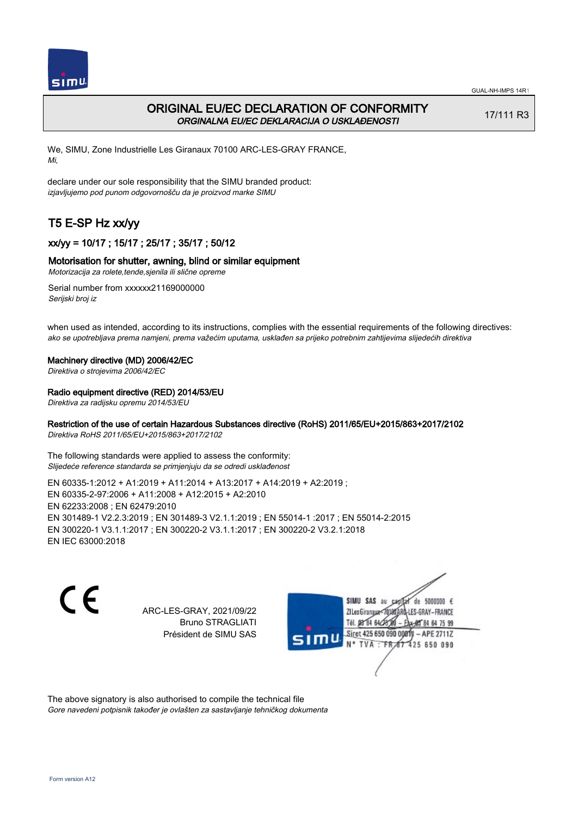

# ORIGINAL EU/EC DECLARATION OF CONFORMITY ORGINALNA EU/EC DEKLARACIJA O USKLAĐENOSTI

17/111 R3

We, SIMU, Zone Industrielle Les Giranaux 70100 ARC-LES-GRAY FRANCE, Mi,

declare under our sole responsibility that the SIMU branded product: izjavljujemo pod punom odgovornošču da je proizvod marke SIMU

# T5 E-SP Hz xx/yy

# xx/yy = 10/17 ; 15/17 ; 25/17 ; 35/17 ; 50/12

# Motorisation for shutter, awning, blind or similar equipment

Motorizacija za rolete,tende,sjenila ili slične opreme

Serial number from xxxxxx21169000000 Serijski broj iz

when used as intended, according to its instructions, complies with the essential requirements of the following directives: ako se upotrebljava prema namjeni, prema važećim uputama, usklađen sa prijeko potrebnim zahtijevima slijedećih direktiva

### Machinery directive (MD) 2006/42/EC

Direktiva o strojevima 2006/42/EC

## Radio equipment directive (RED) 2014/53/EU

Direktiva za radijsku opremu 2014/53/EU

# Restriction of the use of certain Hazardous Substances directive (RoHS) 2011/65/EU+2015/863+2017/2102

Direktiva RoHS 2011/65/EU+2015/863+2017/2102

The following standards were applied to assess the conformity: Slijedeće reference standarda se primjenjuju da se odredi usklađenost

EN 60335‑1:2012 + A1:2019 + A11:2014 + A13:2017 + A14:2019 + A2:2019 ; EN 60335‑2‑97:2006 + A11:2008 + A12:2015 + A2:2010 EN 62233:2008 ; EN 62479:2010 EN 301489‑1 V2.2.3:2019 ; EN 301489‑3 V2.1.1:2019 ; EN 55014‑1 :2017 ; EN 55014‑2:2015 EN 300220‑1 V3.1.1:2017 ; EN 300220‑2 V3.1.1:2017 ; EN 300220‑2 V3.2.1:2018 EN IEC 63000:2018

 $\epsilon$ 

ARC-LES-GRAY, 2021/09/22 Bruno STRAGLIATI Président de SIMU SAS



The above signatory is also authorised to compile the technical file Gore navedeni potpisnik također je ovlašten za sastavljanje tehničkog dokumenta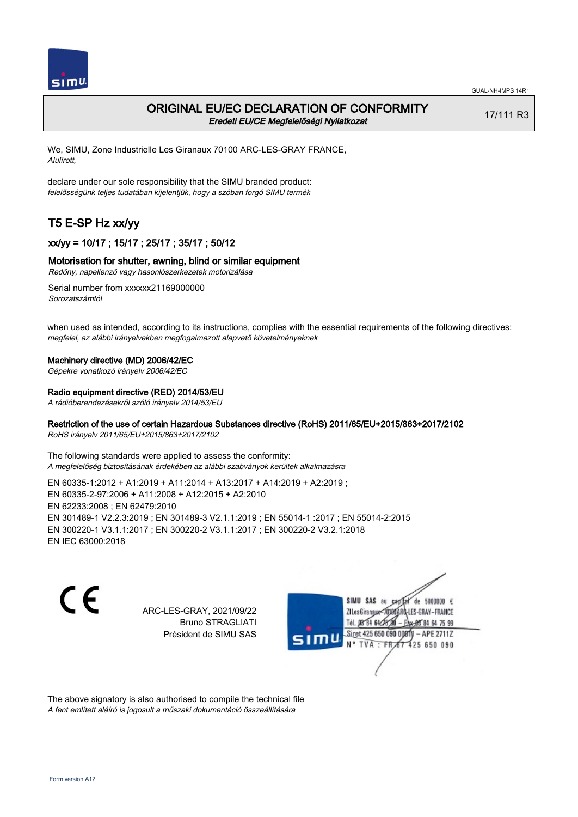

# ORIGINAL EU/EC DECLARATION OF CONFORMITY Eredeti EU/CE Megfelelőségi Nyilatkozat

17/111 R3

We, SIMU, Zone Industrielle Les Giranaux 70100 ARC-LES-GRAY FRANCE, Alulírott,

declare under our sole responsibility that the SIMU branded product: felelősségünk teljes tudatában kijelentjük, hogy a szóban forgó SIMU termék

# T5 E-SP Hz xx/yy

# xx/yy = 10/17 ; 15/17 ; 25/17 ; 35/17 ; 50/12

### Motorisation for shutter, awning, blind or similar equipment

Redőny, napellenző vagy hasonlószerkezetek motorizálása

Serial number from xxxxxx21169000000 Sorozatszámtól

when used as intended, according to its instructions, complies with the essential requirements of the following directives: megfelel, az alábbi irányelvekben megfogalmazott alapvető követelményeknek

#### Machinery directive (MD) 2006/42/EC

Gépekre vonatkozó irányelv 2006/42/EC

#### Radio equipment directive (RED) 2014/53/EU

A rádióberendezésekről szóló irányelv 2014/53/EU

### Restriction of the use of certain Hazardous Substances directive (RoHS) 2011/65/EU+2015/863+2017/2102

RoHS irányelv 2011/65/EU+2015/863+2017/2102

The following standards were applied to assess the conformity: A megfelelőség biztosításának érdekében az alábbi szabványok kerültek alkalmazásra

EN 60335‑1:2012 + A1:2019 + A11:2014 + A13:2017 + A14:2019 + A2:2019 ; EN 60335‑2‑97:2006 + A11:2008 + A12:2015 + A2:2010 EN 62233:2008 ; EN 62479:2010 EN 301489‑1 V2.2.3:2019 ; EN 301489‑3 V2.1.1:2019 ; EN 55014‑1 :2017 ; EN 55014‑2:2015 EN 300220‑1 V3.1.1:2017 ; EN 300220‑2 V3.1.1:2017 ; EN 300220‑2 V3.2.1:2018 EN IEC 63000:2018

C F

ARC-LES-GRAY, 2021/09/22 Bruno STRAGLIATI Président de SIMU SAS



The above signatory is also authorised to compile the technical file A fent említett aláíró is jogosult a műszaki dokumentáció összeállítására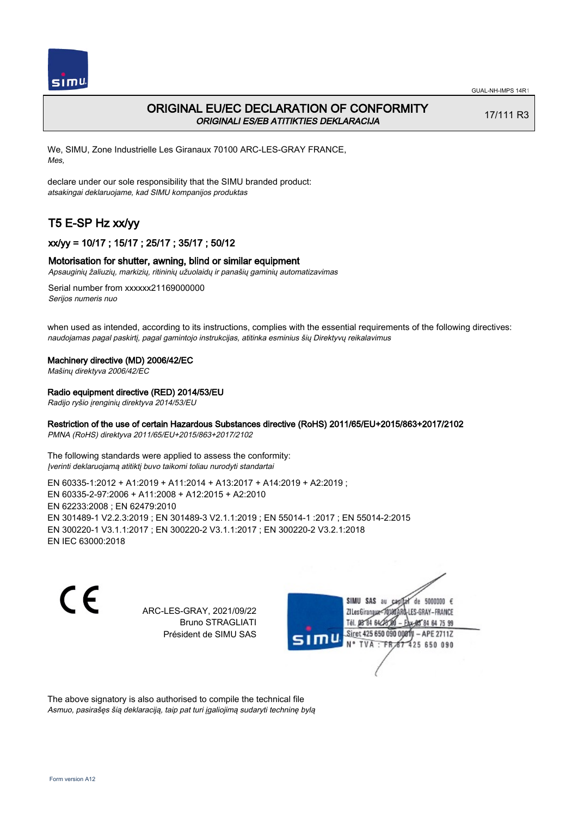

# ORIGINAL EU/EC DECLARATION OF CONFORMITY ORIGINALI ES/EB ATITIKTIES DEKLARACIJA

17/111 R3

We, SIMU, Zone Industrielle Les Giranaux 70100 ARC-LES-GRAY FRANCE, Mes,

declare under our sole responsibility that the SIMU branded product: atsakingai deklaruojame, kad SIMU kompanijos produktas

# T5 E-SP Hz xx/yy

# xx/yy = 10/17 ; 15/17 ; 25/17 ; 35/17 ; 50/12

### Motorisation for shutter, awning, blind or similar equipment

Apsauginių žaliuzių, markizių, ritininių užuolaidų ir panašių gaminių automatizavimas

Serial number from xxxxxx21169000000 Serijos numeris nuo

when used as intended, according to its instructions, complies with the essential requirements of the following directives: naudojamas pagal paskirtį, pagal gamintojo instrukcijas, atitinka esminius šių Direktyvų reikalavimus

#### Machinery directive (MD) 2006/42/EC

Mašinų direktyva 2006/42/EC

### Radio equipment directive (RED) 2014/53/EU

Radijo ryšio įrenginių direktyva 2014/53/EU

### Restriction of the use of certain Hazardous Substances directive (RoHS) 2011/65/EU+2015/863+2017/2102

PMNA (RoHS) direktyva 2011/65/EU+2015/863+2017/2102

The following standards were applied to assess the conformity: Įverinti deklaruojamą atitiktį buvo taikomi toliau nurodyti standartai

EN 60335‑1:2012 + A1:2019 + A11:2014 + A13:2017 + A14:2019 + A2:2019 ; EN 60335‑2‑97:2006 + A11:2008 + A12:2015 + A2:2010 EN 62233:2008 ; EN 62479:2010 EN 301489‑1 V2.2.3:2019 ; EN 301489‑3 V2.1.1:2019 ; EN 55014‑1 :2017 ; EN 55014‑2:2015 EN 300220‑1 V3.1.1:2017 ; EN 300220‑2 V3.1.1:2017 ; EN 300220‑2 V3.2.1:2018 EN IEC 63000:2018

C F

ARC-LES-GRAY, 2021/09/22 Bruno STRAGLIATI Président de SIMU SAS



The above signatory is also authorised to compile the technical file Asmuo, pasirašęs šią deklaraciją, taip pat turi įgaliojimą sudaryti techninę bylą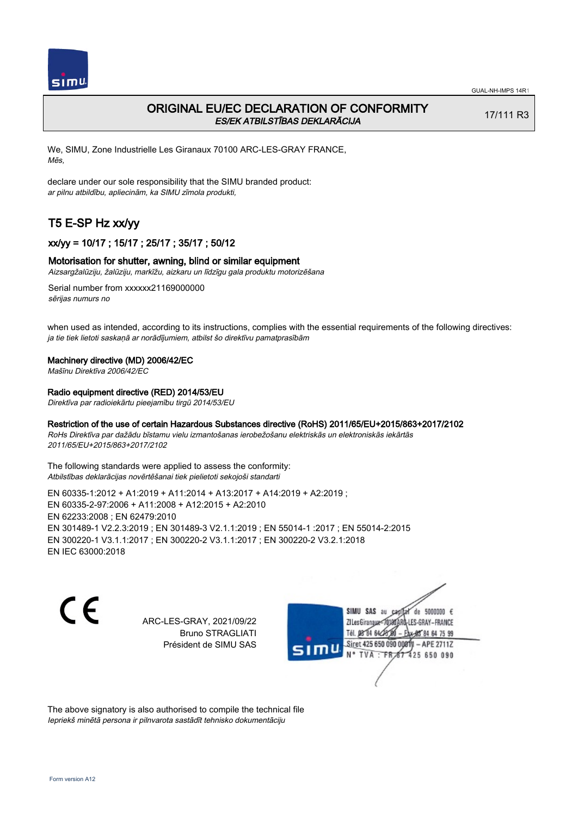

# ORIGINAL EU/EC DECLARATION OF CONFORMITY ES/EK ATBILSTĪBAS DEKLARĀCIJA

17/111 R3

We, SIMU, Zone Industrielle Les Giranaux 70100 ARC-LES-GRAY FRANCE, Mēs,

declare under our sole responsibility that the SIMU branded product: ar pilnu atbildību, apliecinām, ka SIMU zīmola produkti,

# T5 E-SP Hz xx/yy

# xx/yy = 10/17 ; 15/17 ; 25/17 ; 35/17 ; 50/12

### Motorisation for shutter, awning, blind or similar equipment

Aizsargžalūziju, žalūziju, markīžu, aizkaru un līdzīgu gala produktu motorizēšana

Serial number from xxxxxx21169000000 sērijas numurs no

when used as intended, according to its instructions, complies with the essential requirements of the following directives: ja tie tiek lietoti saskaņā ar norādījumiem, atbilst šo direktīvu pamatprasībām

#### Machinery directive (MD) 2006/42/EC

Mašīnu Direktīva 2006/42/EC

### Radio equipment directive (RED) 2014/53/EU

Direktīva par radioiekārtu pieejamību tirgū 2014/53/EU

### Restriction of the use of certain Hazardous Substances directive (RoHS) 2011/65/EU+2015/863+2017/2102

RoHs Direktīva par dažādu bīstamu vielu izmantošanas ierobežošanu elektriskās un elektroniskās iekārtās 2011/65/EU+2015/863+2017/2102

The following standards were applied to assess the conformity: Atbilstības deklarācijas novērtēšanai tiek pielietoti sekojoši standarti

EN 60335‑1:2012 + A1:2019 + A11:2014 + A13:2017 + A14:2019 + A2:2019 ; EN 60335‑2‑97:2006 + A11:2008 + A12:2015 + A2:2010 EN 62233:2008 ; EN 62479:2010 EN 301489‑1 V2.2.3:2019 ; EN 301489‑3 V2.1.1:2019 ; EN 55014‑1 :2017 ; EN 55014‑2:2015 EN 300220‑1 V3.1.1:2017 ; EN 300220‑2 V3.1.1:2017 ; EN 300220‑2 V3.2.1:2018 EN IEC 63000:2018

C E

ARC-LES-GRAY, 2021/09/22 Bruno STRAGLIATI Président de SIMU SAS

SIMU SAS au de 5000000  $\epsilon$ ZI Les Giranaux</r0180 LES-GRAY-FRANCE Tél. 08 84 64 28 64 75 99 Siret 425 650 090 0081) - APE 2711Z TVA : FRAT 425 650 090

The above signatory is also authorised to compile the technical file Iepriekš minētā persona ir pilnvarota sastādīt tehnisko dokumentāciju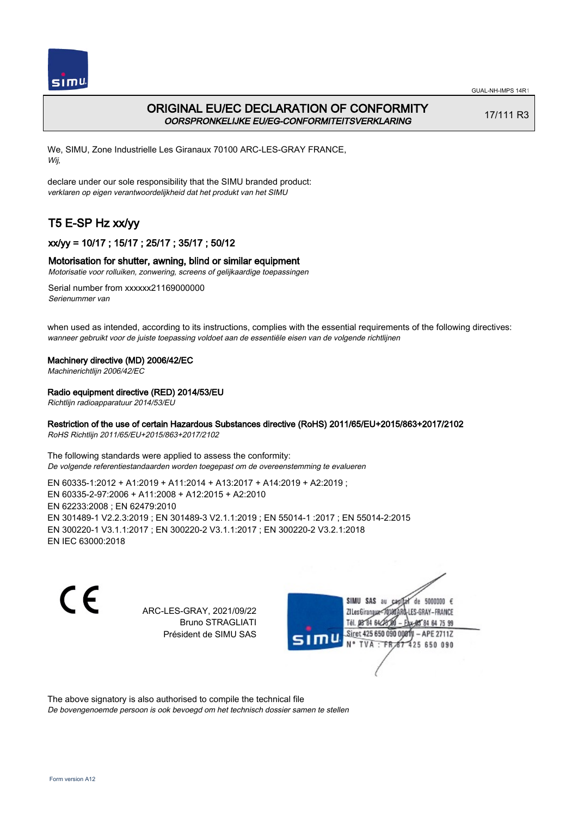

# ORIGINAL EU/EC DECLARATION OF CONFORMITY OORSPRONKELIJKE EU/EG-CONFORMITEITSVERKLARING

17/111 R3

We, SIMU, Zone Industrielle Les Giranaux 70100 ARC-LES-GRAY FRANCE, Wij,

declare under our sole responsibility that the SIMU branded product: verklaren op eigen verantwoordelijkheid dat het produkt van het SIMU

# T5 E-SP Hz xx/yy

# xx/yy = 10/17 ; 15/17 ; 25/17 ; 35/17 ; 50/12

# Motorisation for shutter, awning, blind or similar equipment

Motorisatie voor rolluiken, zonwering, screens of gelijkaardige toepassingen

Serial number from xxxxxx21169000000 Serienummer van

when used as intended, according to its instructions, complies with the essential requirements of the following directives: wanneer gebruikt voor de juiste toepassing voldoet aan de essentiële eisen van de volgende richtlijnen

## Machinery directive (MD) 2006/42/EC

Machinerichtlijn 2006/42/EC

## Radio equipment directive (RED) 2014/53/EU

Richtlijn radioapparatuur 2014/53/EU

## Restriction of the use of certain Hazardous Substances directive (RoHS) 2011/65/EU+2015/863+2017/2102

RoHS Richtlijn 2011/65/EU+2015/863+2017/2102

The following standards were applied to assess the conformity: De volgende referentiestandaarden worden toegepast om de overeenstemming te evalueren

EN 60335‑1:2012 + A1:2019 + A11:2014 + A13:2017 + A14:2019 + A2:2019 ; EN 60335‑2‑97:2006 + A11:2008 + A12:2015 + A2:2010 EN 62233:2008 ; EN 62479:2010 EN 301489‑1 V2.2.3:2019 ; EN 301489‑3 V2.1.1:2019 ; EN 55014‑1 :2017 ; EN 55014‑2:2015 EN 300220‑1 V3.1.1:2017 ; EN 300220‑2 V3.1.1:2017 ; EN 300220‑2 V3.2.1:2018 EN IEC 63000:2018

 $\epsilon$ 

ARC-LES-GRAY, 2021/09/22 Bruno STRAGLIATI Président de SIMU SAS



The above signatory is also authorised to compile the technical file

De bovengenoemde persoon is ook bevoegd om het technisch dossier samen te stellen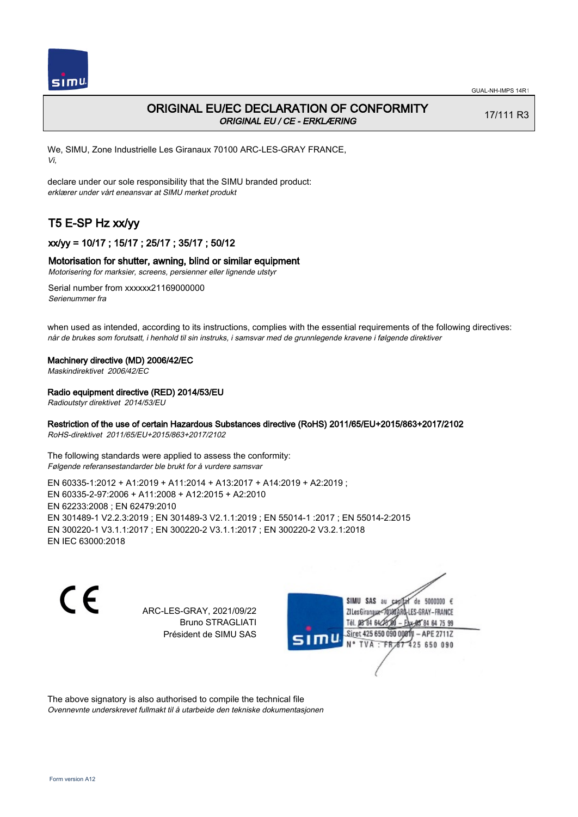

# ORIGINAL EU/EC DECLARATION OF CONFORMITY ORIGINAL EU / CE - ERKLÆRING

17/111 R3

We, SIMU, Zone Industrielle Les Giranaux 70100 ARC-LES-GRAY FRANCE, Vi,

declare under our sole responsibility that the SIMU branded product: erklærer under vårt eneansvar at SIMU merket produkt

# T5 E-SP Hz xx/yy

# xx/yy = 10/17 ; 15/17 ; 25/17 ; 35/17 ; 50/12

### Motorisation for shutter, awning, blind or similar equipment

Motorisering for marksier, screens, persienner eller lignende utstyr

Serial number from xxxxxx21169000000 Serienummer fra

when used as intended, according to its instructions, complies with the essential requirements of the following directives: når de brukes som forutsatt, i henhold til sin instruks, i samsvar med de grunnlegende kravene i følgende direktiver

#### Machinery directive (MD) 2006/42/EC

Maskindirektivet 2006/42/EC

### Radio equipment directive (RED) 2014/53/EU

Radioutstyr direktivet 2014/53/EU

### Restriction of the use of certain Hazardous Substances directive (RoHS) 2011/65/EU+2015/863+2017/2102

RoHS-direktivet 2011/65/EU+2015/863+2017/2102

The following standards were applied to assess the conformity: Følgende referansestandarder ble brukt for å vurdere samsvar

EN 60335‑1:2012 + A1:2019 + A11:2014 + A13:2017 + A14:2019 + A2:2019 ; EN 60335‑2‑97:2006 + A11:2008 + A12:2015 + A2:2010 EN 62233:2008 ; EN 62479:2010 EN 301489‑1 V2.2.3:2019 ; EN 301489‑3 V2.1.1:2019 ; EN 55014‑1 :2017 ; EN 55014‑2:2015 EN 300220‑1 V3.1.1:2017 ; EN 300220‑2 V3.1.1:2017 ; EN 300220‑2 V3.2.1:2018 EN IEC 63000:2018

 $\epsilon$ 

ARC-LES-GRAY, 2021/09/22 Bruno STRAGLIATI Président de SIMU SAS



The above signatory is also authorised to compile the technical file Ovennevnte underskrevet fullmakt til å utarbeide den tekniske dokumentasjonen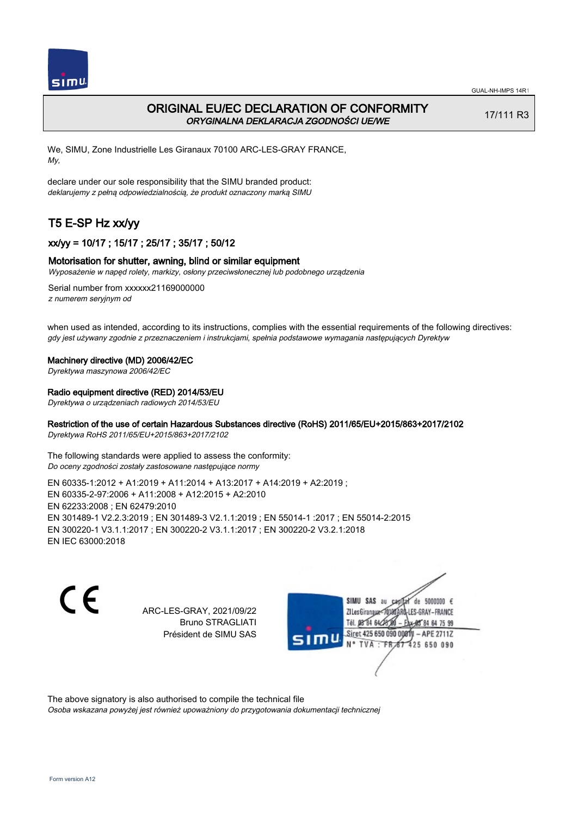

# ORIGINAL EU/EC DECLARATION OF CONFORMITY ORYGINALNA DEKLARACJA ZGODNOŚCI UE/WE

17/111 R3

We, SIMU, Zone Industrielle Les Giranaux 70100 ARC-LES-GRAY FRANCE, My,

declare under our sole responsibility that the SIMU branded product: deklarujemy z pełną odpowiedzialnością, że produkt oznaczony marką SIMU

# T5 E-SP Hz xx/yy

# xx/yy = 10/17 ; 15/17 ; 25/17 ; 35/17 ; 50/12

## Motorisation for shutter, awning, blind or similar equipment

Wyposażenie w napęd rolety, markizy, osłony przeciwsłonecznej lub podobnego urządzenia

Serial number from xxxxxx21169000000 z numerem seryjnym od

when used as intended, according to its instructions, complies with the essential requirements of the following directives: gdy jest używany zgodnie z przeznaczeniem i instrukcjami, spełnia podstawowe wymagania następujących Dyrektyw

### Machinery directive (MD) 2006/42/EC

Dyrektywa maszynowa 2006/42/EC

## Radio equipment directive (RED) 2014/53/EU

Dyrektywa o urządzeniach radiowych 2014/53/EU

# Restriction of the use of certain Hazardous Substances directive (RoHS) 2011/65/EU+2015/863+2017/2102

Dyrektywa RoHS 2011/65/EU+2015/863+2017/2102

The following standards were applied to assess the conformity: Do oceny zgodności zostały zastosowane następujące normy

EN 60335‑1:2012 + A1:2019 + A11:2014 + A13:2017 + A14:2019 + A2:2019 ; EN 60335‑2‑97:2006 + A11:2008 + A12:2015 + A2:2010 EN 62233:2008 ; EN 62479:2010 EN 301489‑1 V2.2.3:2019 ; EN 301489‑3 V2.1.1:2019 ; EN 55014‑1 :2017 ; EN 55014‑2:2015 EN 300220‑1 V3.1.1:2017 ; EN 300220‑2 V3.1.1:2017 ; EN 300220‑2 V3.2.1:2018 EN IEC 63000:2018

C F

ARC-LES-GRAY, 2021/09/22 Bruno STRAGLIATI Président de SIMU SAS



The above signatory is also authorised to compile the technical file

Osoba wskazana powyżej jest również upoważniony do przygotowania dokumentacji technicznej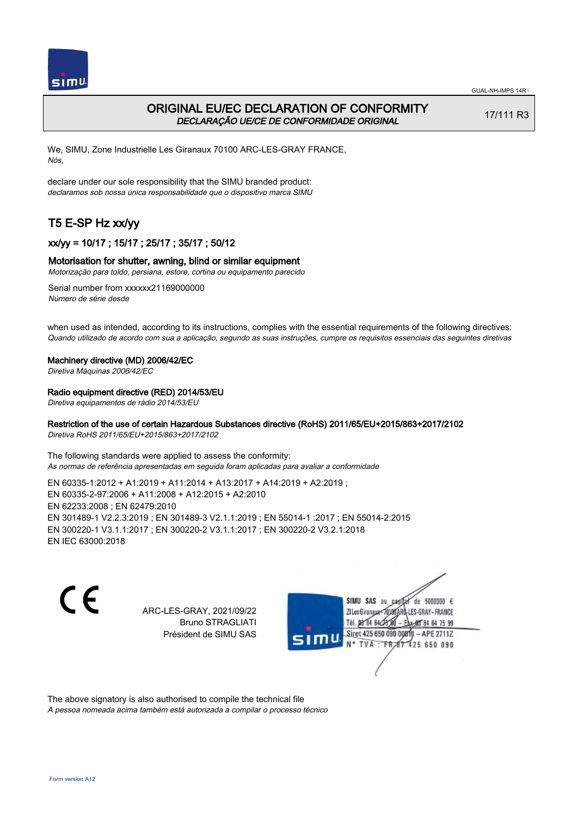



# ORIGINAL EU/EC DECLARATION OF CONFORMITY DECLARAÇÃO UE/CE DE CONFORMIDADE ORIGINAL

17/111 R3

We, SIMU, Zone Industrielle Les Giranaux 70100 ARC-LES-GRAY FRANCE, Nós,

declare under our sole responsibility that the SIMU branded product: declaramos sob nossa única responsabilidade que o dispositivo marca SIMU

# T5 E-SP Hz xx/yy

# xx/yy = 10/17 ; 15/17 ; 25/17 ; 35/17 ; 50/12

## Motorisation for shutter, awning, blind or similar equipment

Motorização para toldo, persiana, estore, cortina ou equipamento parecido

Serial number from xxxxxx21169000000 Número de série desde

when used as intended, according to its instructions, complies with the essential requirements of the following directives: Quando utilizado de acordo com sua a aplicação, segundo as suas instruções, cumpre os requisitos essenciais das seguintes diretivas

### Machinery directive (MD) 2006/42/EC

Diretiva Máquinas 2006/42/EC

## Radio equipment directive (RED) 2014/53/EU

Diretiva equipamentos de rádio 2014/53/EU

# Restriction of the use of certain Hazardous Substances directive (RoHS) 2011/65/EU+2015/863+2017/2102

Diretiva RoHS 2011/65/EU+2015/863+2017/2102

The following standards were applied to assess the conformity: As normas de referência apresentadas em seguida foram aplicadas para avaliar a conformidade

EN 60335‑1:2012 + A1:2019 + A11:2014 + A13:2017 + A14:2019 + A2:2019 ; EN 60335‑2‑97:2006 + A11:2008 + A12:2015 + A2:2010 EN 62233:2008 ; EN 62479:2010 EN 301489‑1 V2.2.3:2019 ; EN 301489‑3 V2.1.1:2019 ; EN 55014‑1 :2017 ; EN 55014‑2:2015 EN 300220‑1 V3.1.1:2017 ; EN 300220‑2 V3.1.1:2017 ; EN 300220‑2 V3.2.1:2018 EN IEC 63000:2018

 $\epsilon$ 

ARC-LES-GRAY, 2021/09/22 Bruno STRAGLIATI Président de SIMU SAS



The above signatory is also authorised to compile the technical file

A pessoa nomeada acima também está autorizada a compilar o processo técnico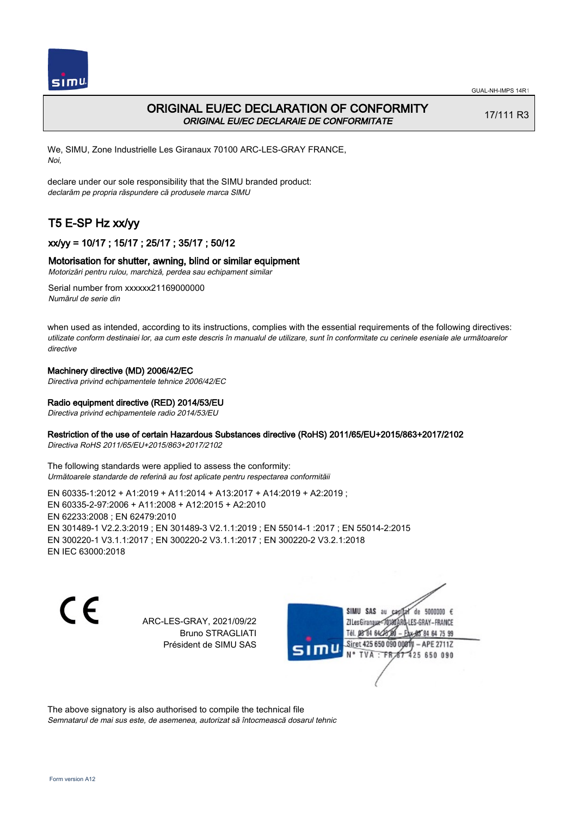



# ORIGINAL EU/EC DECLARATION OF CONFORMITY ORIGINAL EU/EC DECLARAIE DE CONFORMITATE

17/111 R3

We, SIMU, Zone Industrielle Les Giranaux 70100 ARC-LES-GRAY FRANCE, Noi,

declare under our sole responsibility that the SIMU branded product: declarăm pe propria răspundere că produsele marca SIMU

# T5 E-SP Hz xx/yy

# xx/yy = 10/17 ; 15/17 ; 25/17 ; 35/17 ; 50/12

## Motorisation for shutter, awning, blind or similar equipment

Motorizări pentru rulou, marchiză, perdea sau echipament similar

Serial number from xxxxxx21169000000 Numărul de serie din

when used as intended, according to its instructions, complies with the essential requirements of the following directives: utilizate conform destinaiei lor, aa cum este descris în manualul de utilizare, sunt în conformitate cu cerinele eseniale ale următoarelor directive

## Machinery directive (MD) 2006/42/EC

Directiva privind echipamentele tehnice 2006/42/EC

## Radio equipment directive (RED) 2014/53/EU

Directiva privind echipamentele radio 2014/53/EU

## Restriction of the use of certain Hazardous Substances directive (RoHS) 2011/65/EU+2015/863+2017/2102

Directiva RoHS 2011/65/EU+2015/863+2017/2102

The following standards were applied to assess the conformity: Următoarele standarde de referină au fost aplicate pentru respectarea conformităii

EN 60335‑1:2012 + A1:2019 + A11:2014 + A13:2017 + A14:2019 + A2:2019 ; EN 60335‑2‑97:2006 + A11:2008 + A12:2015 + A2:2010 EN 62233:2008 ; EN 62479:2010 EN 301489‑1 V2.2.3:2019 ; EN 301489‑3 V2.1.1:2019 ; EN 55014‑1 :2017 ; EN 55014‑2:2015 EN 300220‑1 V3.1.1:2017 ; EN 300220‑2 V3.1.1:2017 ; EN 300220‑2 V3.2.1:2018 EN IEC 63000:2018

C E

ARC-LES-GRAY, 2021/09/22 Bruno STRAGLIATI Président de SIMU SAS

de 5000000  $\epsilon$ SIMU SAS au ZI Les Giranaux-70180 LES-GRAY-FRANCE Tél. 08 84 64 24 64 75 99 Siret 425 650 090 0081) - APE 2711Z 425 650 090 TVA: FR

The above signatory is also authorised to compile the technical file Semnatarul de mai sus este, de asemenea, autorizat să întocmească dosarul tehnic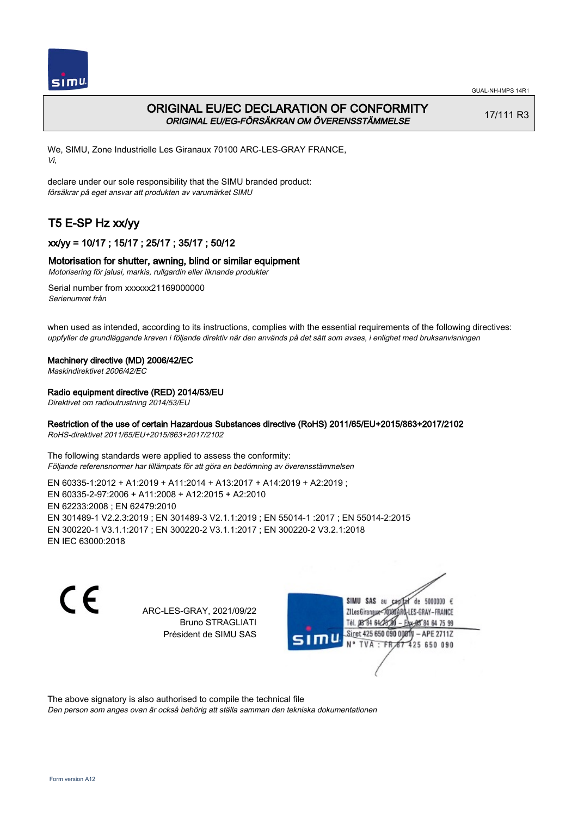

# ORIGINAL EU/EC DECLARATION OF CONFORMITY ORIGINAL EU/EG-FÖRSÄKRAN OM ÖVERENSSTÄMMELSE

17/111 R3

We, SIMU, Zone Industrielle Les Giranaux 70100 ARC-LES-GRAY FRANCE, Vi,

declare under our sole responsibility that the SIMU branded product: försäkrar på eget ansvar att produkten av varumärket SIMU

# T5 E-SP Hz xx/yy

# xx/yy = 10/17 ; 15/17 ; 25/17 ; 35/17 ; 50/12

# Motorisation for shutter, awning, blind or similar equipment

Motorisering för jalusi, markis, rullgardin eller liknande produkter

Serial number from xxxxxx21169000000 Serienumret från

when used as intended, according to its instructions, complies with the essential requirements of the following directives: uppfyller de grundläggande kraven i följande direktiv när den används på det sätt som avses, i enlighet med bruksanvisningen

### Machinery directive (MD) 2006/42/EC

Maskindirektivet 2006/42/EC

## Radio equipment directive (RED) 2014/53/EU

Direktivet om radioutrustning 2014/53/EU

## Restriction of the use of certain Hazardous Substances directive (RoHS) 2011/65/EU+2015/863+2017/2102

RoHS-direktivet 2011/65/EU+2015/863+2017/2102

The following standards were applied to assess the conformity: Följande referensnormer har tillämpats för att göra en bedömning av överensstämmelsen

EN 60335‑1:2012 + A1:2019 + A11:2014 + A13:2017 + A14:2019 + A2:2019 ; EN 60335‑2‑97:2006 + A11:2008 + A12:2015 + A2:2010 EN 62233:2008 ; EN 62479:2010 EN 301489‑1 V2.2.3:2019 ; EN 301489‑3 V2.1.1:2019 ; EN 55014‑1 :2017 ; EN 55014‑2:2015 EN 300220‑1 V3.1.1:2017 ; EN 300220‑2 V3.1.1:2017 ; EN 300220‑2 V3.2.1:2018 EN IEC 63000:2018

 $\epsilon$ 

ARC-LES-GRAY, 2021/09/22 Bruno STRAGLIATI Président de SIMU SAS



The above signatory is also authorised to compile the technical file

Den person som anges ovan är också behörig att ställa samman den tekniska dokumentationen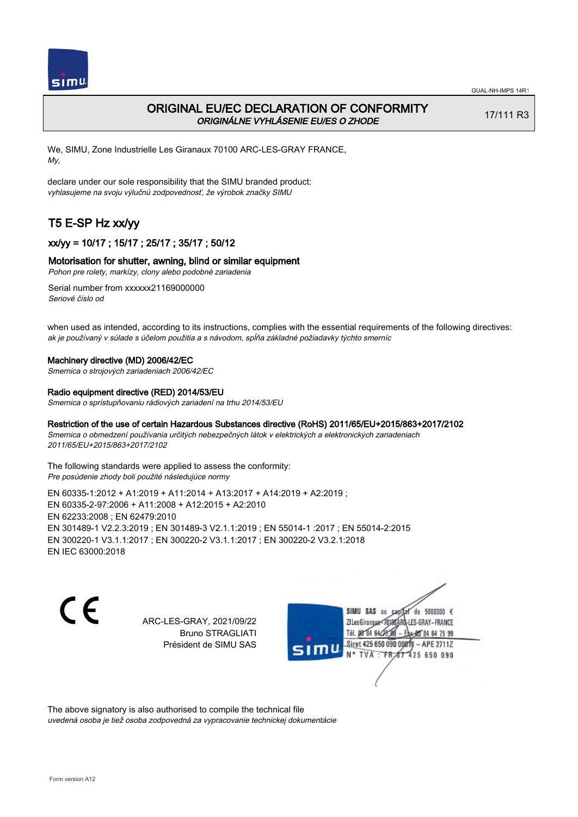

# ORIGINAL EU/EC DECLARATION OF CONFORMITY ORIGINÁLNE VYHLÁSENIE EU/ES O ZHODE

17/111 R3

We, SIMU, Zone Industrielle Les Giranaux 70100 ARC-LES-GRAY FRANCE, My,

declare under our sole responsibility that the SIMU branded product: vyhlasujeme na svoju výlučnú zodpovednosť, že výrobok značky SIMU

# T5 E-SP Hz xx/yy

# xx/yy = 10/17 ; 15/17 ; 25/17 ; 35/17 ; 50/12

### Motorisation for shutter, awning, blind or similar equipment

Pohon pre rolety, markízy, clony alebo podobné zariadenia

Serial number from xxxxxx21169000000 Seriové číslo od

when used as intended, according to its instructions, complies with the essential requirements of the following directives: ak je používaný v súlade s účelom použitia a s návodom, spĺňa základné požiadavky týchto smerníc

#### Machinery directive (MD) 2006/42/EC

Smernica o strojových zariadeniach 2006/42/EC

#### Radio equipment directive (RED) 2014/53/EU

Smernica o sprístupňovaniu rádiových zariadení na trhu 2014/53/EU

### Restriction of the use of certain Hazardous Substances directive (RoHS) 2011/65/EU+2015/863+2017/2102

Smernica o obmedzení používania určitých nebezpečných látok v elektrických a elektronických zariadeniach 2011/65/EU+2015/863+2017/2102

The following standards were applied to assess the conformity: Pre posúdenie zhody boli použité následujúce normy

EN 60335‑1:2012 + A1:2019 + A11:2014 + A13:2017 + A14:2019 + A2:2019 ; EN 60335‑2‑97:2006 + A11:2008 + A12:2015 + A2:2010 EN 62233:2008 ; EN 62479:2010 EN 301489‑1 V2.2.3:2019 ; EN 301489‑3 V2.1.1:2019 ; EN 55014‑1 :2017 ; EN 55014‑2:2015 EN 300220‑1 V3.1.1:2017 ; EN 300220‑2 V3.1.1:2017 ; EN 300220‑2 V3.2.1:2018 EN IEC 63000:2018

C E

ARC-LES-GRAY, 2021/09/22 Bruno STRAGLIATI Président de SIMU SAS

SIMU SAS au de 5000000  $\epsilon$ ZI Les Giranaux</r0180 LES-GRAY-FRANCE Tél. 08 84 64 24 64 75 99 Siret 425 650 090 008TV - APE 2711Z 425 650 090 TVA : FRAT

The above signatory is also authorised to compile the technical file uvedená osoba je tiež osoba zodpovedná za vypracovanie technickej dokumentácie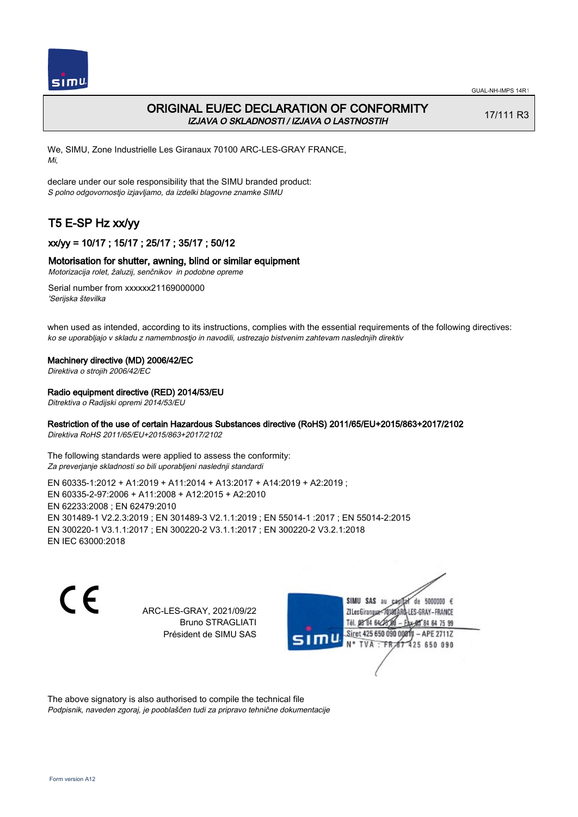

# ORIGINAL EU/EC DECLARATION OF CONFORMITY IZJAVA O SKLADNOSTI / IZJAVA O LASTNOSTIH

17/111 R3

We, SIMU, Zone Industrielle Les Giranaux 70100 ARC-LES-GRAY FRANCE, Mi,

declare under our sole responsibility that the SIMU branded product: S polno odgovornostjo izjavljamo, da izdelki blagovne znamke SIMU

# T5 E-SP Hz xx/yy

# xx/yy = 10/17 ; 15/17 ; 25/17 ; 35/17 ; 50/12

## Motorisation for shutter, awning, blind or similar equipment

Motorizacija rolet, žaluzij, senčnikov in podobne opreme

Serial number from xxxxxx21169000000 'Serijska številka

when used as intended, according to its instructions, complies with the essential requirements of the following directives: ko se uporabljajo v skladu z namembnostjo in navodili, ustrezajo bistvenim zahtevam naslednjih direktiv

### Machinery directive (MD) 2006/42/EC

Direktiva o strojih 2006/42/EC

## Radio equipment directive (RED) 2014/53/EU

Ditrektiva o Radijski opremi 2014/53/EU

# Restriction of the use of certain Hazardous Substances directive (RoHS) 2011/65/EU+2015/863+2017/2102

Direktiva RoHS 2011/65/EU+2015/863+2017/2102

The following standards were applied to assess the conformity: Za preverjanje skladnosti so bili uporabljeni naslednji standardi

EN 60335‑1:2012 + A1:2019 + A11:2014 + A13:2017 + A14:2019 + A2:2019 ; EN 60335‑2‑97:2006 + A11:2008 + A12:2015 + A2:2010 EN 62233:2008 ; EN 62479:2010 EN 301489‑1 V2.2.3:2019 ; EN 301489‑3 V2.1.1:2019 ; EN 55014‑1 :2017 ; EN 55014‑2:2015 EN 300220‑1 V3.1.1:2017 ; EN 300220‑2 V3.1.1:2017 ; EN 300220‑2 V3.2.1:2018 EN IEC 63000:2018

 $\epsilon$ 

ARC-LES-GRAY, 2021/09/22 Bruno STRAGLIATI Président de SIMU SAS



The above signatory is also authorised to compile the technical file Podpisnik, naveden zgoraj, je pooblaščen tudi za pripravo tehnične dokumentacije